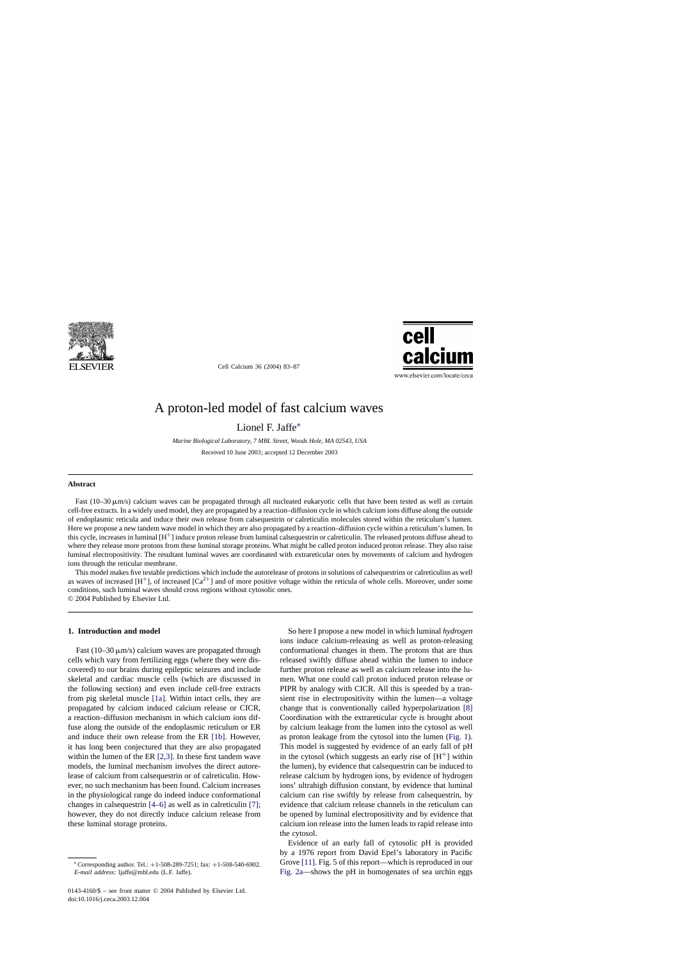

Cell Calcium 36 (2004) 83–87



www.elsevier.com/locate/ceca

# A proton-led model of fast calcium waves

Lionel F. Jaffe∗

*Marine Biological Laboratory, 7 MBL Street, Woods Hole, MA 02543, USA*

Received 10 June 2003; accepted 12 December 2003

### **Abstract**

Fast  $(10-30 \,\mu\text{m/s})$  calcium waves can be propagated through all nucleated eukaryotic cells that have been tested as well as certain cell-free extracts. In a widely used model, they are propagated by a reaction–diffusion cycle in which calcium ions diffuse along the outside of endoplasmic reticula and induce their own release from calsequestrin or calreticulin molecules stored within the reticulum's lumen. Here we propose a new tandem wave model in which they are also propagated by a reaction–diffusion cycle within a reticulum's lumen. In this cycle, increases in luminal [H+] induce proton release from luminal calsequestrin or calreticulin. The released protons diffuse ahead to where they release more protons from these luminal storage proteins. What might be called proton induced proton release. They also raise luminal electropositivity. The resultant luminal waves are coordinated with extrareticular ones by movements of calcium and hydrogen ions through the reticular membrane.

This model makes five testable predictions which include the autorelease of protons in solutions of calsequestrins or calreticulins as well as waves of increased  $[H^+]$ , of increased  $[Ca^{2+}]$  and of more positive voltage within the reticula of whole cells. Moreover, under some conditions, such luminal waves should cross regions without cytosolic ones. © 2004 Published by Elsevier Ltd.

#### **1. Introduction and model**

Fast  $(10-30 \,\mu\text{m/s})$  calcium waves are propagated through cells which vary from fertilizing eggs (where they were discovered) to our brains during epileptic seizures and include skeletal and cardiac muscle cells (which are discussed in the following section) and even include cell-free extracts from pig skeletal muscle [\[1a\].](#page-3-0) Within intact cells, they are propagated by calcium induced calcium release or CICR, a reaction–diffusion mechanism in which calcium ions diffuse along the outside of the endoplasmic reticulum or ER and induce their own release from the ER [\[1b\].](#page-3-0) However, it has long been conjectured that they are also propagated within the lumen of the ER [\[2,3\].](#page-3-0) In these first tandem wave models, the luminal mechanism involves the direct autorelease of calcium from calsequestrin or of calreticulin. However, no such mechanism has been found. Calcium increases in the physiological range do indeed induce conformational changes in calsequestrin [\[4–6\]](#page-3-0) as well as in calreticulin [\[7\];](#page-3-0) however, they do not directly induce calcium release from these luminal storage proteins.

So here I propose a new model in which luminal *hydrogen* ions induce calcium-releasing as well as proton-releasing conformational changes in them. The protons that are thus released swiftly diffuse ahead within the lumen to induce further proton release as well as calcium release into the lumen. What one could call proton induced proton release or PIPR by analogy with CICR. All this is speeded by a transient rise in electropositivity within the lumen—a voltage change that is conventionally called hyperpolarization [\[8\]](#page-3-0) Coordination with the extrareticular cycle is brought about by calcium leakage from the lumen into the cytosol as well as proton leakage from the cytosol into the lumen ([Fig. 1\).](#page-1-0) This model is suggested by evidence of an early fall of pH in the cytosol (which suggests an early rise of  $[H^+]$  within the lumen), by evidence that calsequestrin can be induced to release calcium by hydrogen ions, by evidence of hydrogen ions' ultrahigh diffusion constant, by evidence that luminal calcium can rise swiftly by release from calsequestrin, by evidence that calcium release channels in the reticulum can be opened by luminal electropositivity and by evidence that calcium ion release into the lumen leads to rapid release into the cytosol.

Evidence of an early fall of cytosolic pH is provided by a 1976 report from David Epel's laboratory in Pacific Grove [\[11\]. F](#page-3-0)ig. 5 of this report—which is reproduced in our [Fig. 2a—](#page-1-0)shows the pH in homogenates of sea urchin eggs

<sup>∗</sup> Corresponding author. Tel.: +1-508-289-7251; fax: +1-508-540-6902. *E-mail address:* ljaffe@mbl.edu (L.F. Jaffe).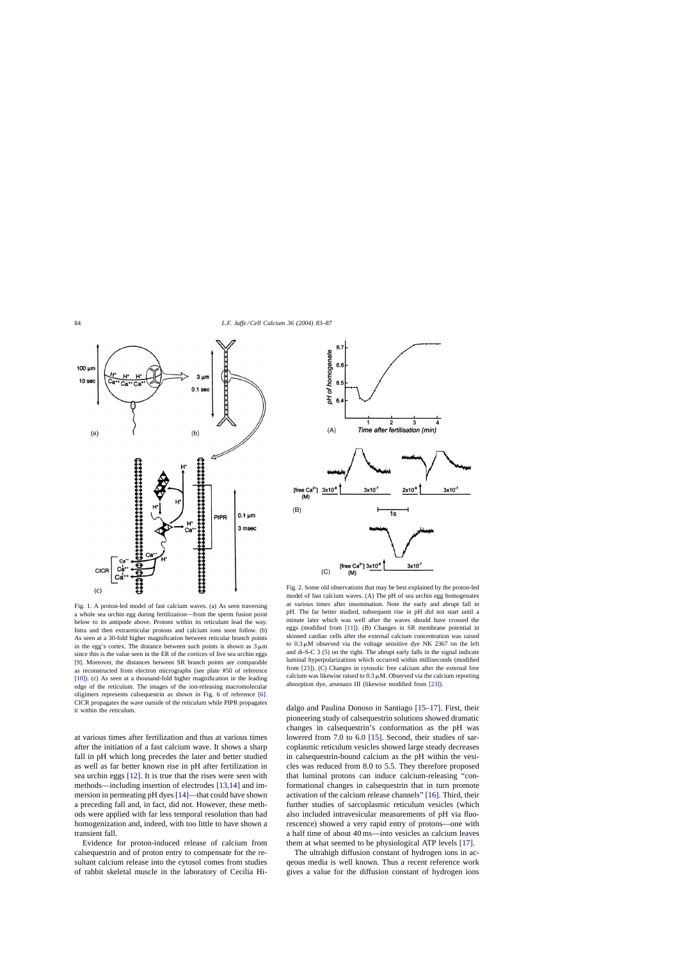<span id="page-1-0"></span>

Fig. 1. A proton-led model of fast calcium waves. (a) As seen traversing a whole sea urchin egg during fertilization—from the sperm fusion point below to its antipode above. Protons within its reticulum lead the way. Intra and then extrareticular protons and calcium ions soon follow. (b) As seen at a 30-fold higher magnification between reticular branch points in the egg's cortex. The distance between such points is shown as  $3 \mu m$ since this is the value seen in the ER of the cortices of live sea urchin eggs [\[9\].](#page-3-0) Moreover, the distances between SR branch points are comparable as reconstructed from electron micrographs (see plate #50 of reference [\[10\]\).](#page-3-0) (c) As seen at a thousand-fold higher magnification in the leading edge of the reticulum. The images of the ion-releasing macromolecular oligimers represents calsequestrin as shown in Fig. 6 of reference [\[6\].](#page-3-0) CICR propagates the wave outside of the reticulum while PIPR propagates it within the reticulum.

at various times after fertilization and thus at various times after the initiation of a fast calcium wave. It shows a sharp fall in pH which long precedes the later and better studied as well as far better known rise in pH after fertilization in sea urchin eggs [\[12\].](#page-3-0) It is true that the rises were seen with methods—including insertion of electrodes [\[13,14\]](#page-3-0) and immersion in permeating pH dyes [\[14\]—](#page-3-0)that could have shown a preceding fall and, in fact, did not. However, these methods were applied with far less temporal resolution than had homogenization and, indeed, with too little to have shown a transient fall.

Evidence for proton-induced release of calcium from calsequestrin and of proton entry to compensate for the resultant calcium release into the cytosol comes from studies of rabbit skeletal muscle in the laboratory of Cecilia Hi-



Fig. 2. Some old observations that may be best explained by the proton-led model of fast calcium waves. (A) The pH of sea urchin egg homogenates at various times after insemination. Note the early and abrupt fall in pH. The far better studied, subsequent rise in pH did not start until a minute later which was well after the waves should have crossed the eggs (modified from [\[11\]\).](#page-3-0) (B) Changes in SR membrane potential in skinned cardiac cells after the external calcium concentration was raised to  $0.3 \mu$ M observed via the voltage sensitive dye NK 2367 on the left and di-S-C 3 (5) on the right. The abrupt early falls in the signal indicate luminal hyperpolarizations which occurred within milliseconds (modified from [\[23\]\).](#page-3-0) (C) Changes in cytosolic free calcium after the external free calcium was likewise raised to  $0.3 \mu$ M. Observed via the calcium reporting absorption dye, arsenazo III (likewise modified from [\[23\]\).](#page-3-0)

dalgo and Paulina Donoso in Santiago [\[15–17\].](#page-3-0) First, their pioneering study of calsequestrin solutions showed dramatic changes in calsequestrin's conformation as the pH was lowered from 7.0 to 6.0 [\[15\].](#page-3-0) Second, their studies of sarcoplasmic reticulum vesicles showed large steady decreases in calsequestrin-bound calcium as the pH within the vesicles was reduced from 8.0 to 5.5. They therefore proposed that luminal protons can induce calcium-releasing "conformational changes in calsequestrin that in turn promote activation of the calcium release channels" [\[16\].](#page-3-0) Third, their further studies of sarcoplasmic reticulum vesicles (which also included intravesicular measurements of pH via fluorescence) showed a very rapid entry of protons—one with a half time of about 40 ms—into vesicles as calcium leaves them at what seemed to be physiological ATP levels [\[17\].](#page-3-0)

The ultrahigh diffusion constant of hydrogen ions in acqeous media is well known. Thus a recent reference work gives a value for the diffusion constant of hydrogen ions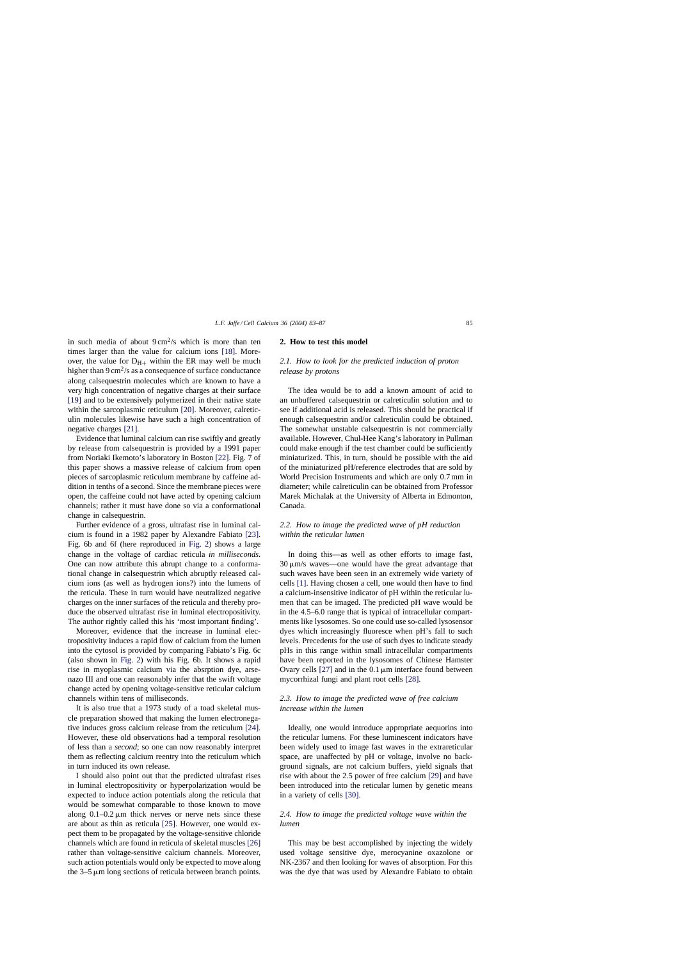in such media of about  $9 \text{ cm}^2/\text{s}$  which is more than ten times larger than the value for calcium ions [\[18\].](#page-3-0) Moreover, the value for  $D_{H+}$  within the ER may well be much higher than  $9 \text{ cm}^2/\text{s}$  as a consequence of surface conductance along calsequestrin molecules which are known to have a very high concentration of negative charges at their surface [\[19\]](#page-3-0) and to be extensively polymerized in their native state within the sarcoplasmic reticulum [\[20\].](#page-3-0) Moreover, calreticulin molecules likewise have such a high concentration of negative charges [\[21\].](#page-3-0)

Evidence that luminal calcium can rise swiftly and greatly by release from calsequestrin is provided by a 1991 paper from Noriaki Ikemoto's laboratory in Boston [\[22\].](#page-3-0) Fig. 7 of this paper shows a massive release of calcium from open pieces of sarcoplasmic reticulum membrane by caffeine addition in tenths of a second. Since the membrane pieces were open, the caffeine could not have acted by opening calcium channels; rather it must have done so via a conformational change in calsequestrin.

Further evidence of a gross, ultrafast rise in luminal calcium is found in a 1982 paper by Alexandre Fabiato [\[23\].](#page-3-0) Fig. 6b and 6f (here reproduced in [Fig. 2\)](#page-1-0) shows a large change in the voltage of cardiac reticula *in milliseconds*. One can now attribute this abrupt change to a conformational change in calsequestrin which abruptly released calcium ions (as well as hydrogen ions?) into the lumens of the reticula. These in turn would have neutralized negative charges on the inner surfaces of the reticula and thereby produce the observed ultrafast rise in luminal electropositivity. The author rightly called this his 'most important finding'.

Moreover, evidence that the increase in luminal electropositivity induces a rapid flow of calcium from the lumen into the cytosol is provided by comparing Fabiato's Fig. 6c (also shown in [Fig. 2\)](#page-1-0) with his Fig. 6b. It shows a rapid rise in myoplasmic calcium via the absrption dye, arsenazo III and one can reasonably infer that the swift voltage change acted by opening voltage-sensitive reticular calcium channels within tens of milliseconds.

It is also true that a 1973 study of a toad skeletal muscle preparation showed that making the lumen electronegative induces gross calcium release from the reticulum [\[24\].](#page-4-0) However, these old observations had a temporal resolution of less than a *second*; so one can now reasonably interpret them as reflecting calcium reentry into the reticulum which in turn induced its own release.

I should also point out that the predicted ultrafast rises in luminal electropositivity or hyperpolarization would be expected to induce action potentials along the reticula that would be somewhat comparable to those known to move along  $0.1-0.2 \mu m$  thick nerves or nerve nets since these are about as thin as reticula [\[25\].](#page-4-0) However, one would expect them to be propagated by the voltage-sensitive chloride channels which are found in reticula of skeletal muscles [\[26\]](#page-4-0) rather than voltage-sensitive calcium channels. Moreover, such action potentials would only be expected to move along the  $3-5 \mu m$  long sections of reticula between branch points.

#### **2. How to test this model**

# *2.1. How to look for the predicted induction of proton release by protons*

The idea would be to add a known amount of acid to an unbuffered calsequestrin or calreticulin solution and to see if additional acid is released. This should be practical if enough calsequestrin and/or calreticulin could be obtained. The somewhat unstable calsequestrin is not commercially available. However, Chul-Hee Kang's laboratory in Pullman could make enough if the test chamber could be sufficiently miniaturized. This, in turn, should be possible with the aid of the miniaturized pH/reference electrodes that are sold by World Precision Instruments and which are only 0.7 mm in diameter; while calreticulin can be obtained from Professor Marek Michalak at the University of Alberta in Edmonton, Canada.

# *2.2. How to image the predicted wave of pH reduction within the reticular lumen*

In doing this—as well as other efforts to image fast,  $30 \mu m/s$  waves—one would have the great advantage that such waves have been seen in an extremely wide variety of cells [\[1\].](#page-3-0) Having chosen a cell, one would then have to find a calcium-insensitive indicator of pH within the reticular lumen that can be imaged. The predicted pH wave would be in the 4.5–6.0 range that is typical of intracellular compartments like lysosomes. So one could use so-called lysosensor dyes which increasingly fluoresce when pH's fall to such levels. Precedents for the use of such dyes to indicate steady pHs in this range within small intracellular compartments have been reported in the lysosomes of Chinese Hamster Ovary cells  $[27]$  and in the 0.1  $\mu$ m interface found between mycorrhizal fungi and plant root cells [\[28\].](#page-4-0)

# *2.3. How to image the predicted wave of free calcium increase within the lumen*

Ideally, one would introduce appropriate aequorins into the reticular lumens. For these luminescent indicators have been widely used to image fast waves in the extrareticular space, are unaffected by pH or voltage, involve no background signals, are not calcium buffers, yield signals that rise with about the 2.5 power of free calcium [\[29\]](#page-4-0) and have been introduced into the reticular lumen by genetic means in a variety of cells [\[30\].](#page-4-0)

## *2.4. How to image the predicted voltage wave within the lumen*

This may be best accomplished by injecting the widely used voltage sensitive dye, merocyanine oxazolone or NK-2367 and then looking for waves of absorption. For this was the dye that was used by Alexandre Fabiato to obtain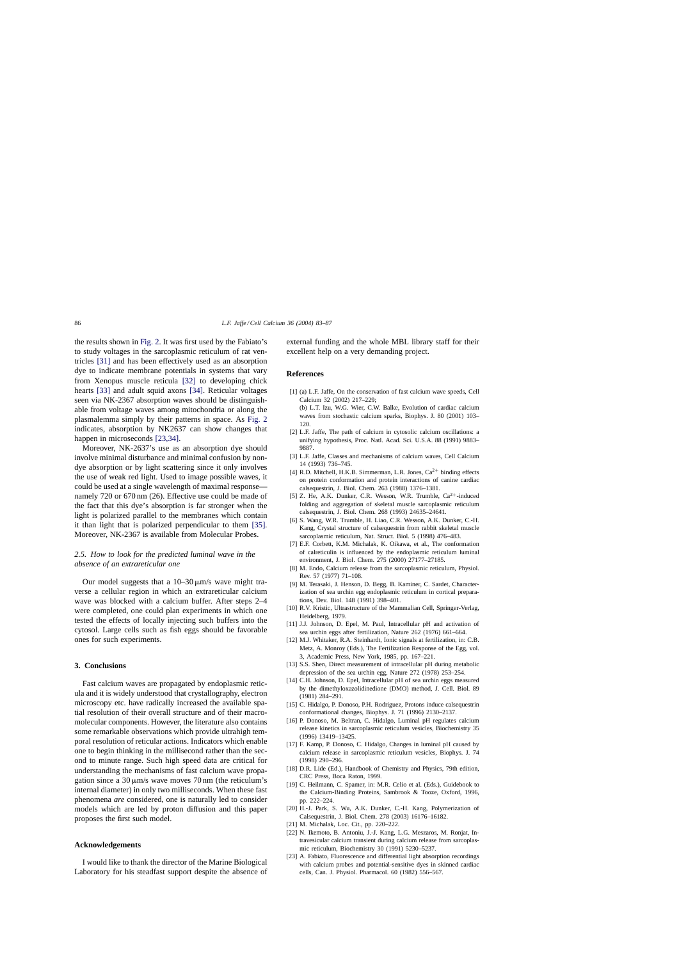<span id="page-3-0"></span>the results shown in [Fig. 2. I](#page-1-0)t was first used by the Fabiato's to study voltages in the sarcoplasmic reticulum of rat ventricles [\[31\]](#page-4-0) and has been effectively used as an absorption dye to indicate membrane potentials in systems that vary from Xenopus muscle reticula [\[32\]](#page-4-0) to developing chick hearts [\[33\]](#page-4-0) and adult squid axons [\[34\].](#page-4-0) Reticular voltages seen via NK-2367 absorption waves should be distinguishable from voltage waves among mitochondria or along the plasmalemma simply by their patterns in space. As [Fig. 2](#page-1-0) indicates, absorption by NK2637 can show changes that happen in microseconds [23,34].

Moreover, NK-2637's use as an absorption dye should involve minimal disturbance and minimal confusion by nondye absorption or by light scattering since it only involves the use of weak red light. Used to image possible waves, it could be used at a single wavelength of maximal response namely 720 or 670 nm (26). Effective use could be made of the fact that this dye's absorption is far stronger when the light is polarized parallel to the membranes which contain it than light that is polarized perpendicular to them [\[35\].](#page-4-0) Moreover, NK-2367 is available from Molecular Probes.

### *2.5. How to look for the predicted luminal wave in the absence of an extrareticular one*

Our model suggests that a  $10-30 \mu m/s$  wave might traverse a cellular region in which an extrareticular calcium wave was blocked with a calcium buffer. After steps 2–4 were completed, one could plan experiments in which one tested the effects of locally injecting such buffers into the cytosol. Large cells such as fish eggs should be favorable ones for such experiments.

#### **3. Conclusions**

Fast calcium waves are propagated by endoplasmic reticula and it is widely understood that crystallography, electron microscopy etc. have radically increased the available spatial resolution of their overall structure and of their macromolecular components. However, the literature also contains some remarkable observations which provide ultrahigh temporal resolution of reticular actions. Indicators which enable one to begin thinking in the millisecond rather than the second to minute range. Such high speed data are critical for understanding the mechanisms of fast calcium wave propagation since a  $30 \mu m/s$  wave moves  $70 \text{ nm}$  (the reticulum's internal diameter) in only two milliseconds. When these fast phenomena *are* considered, one is naturally led to consider models which are led by proton diffusion and this paper proposes the first such model.

#### **Acknowledgements**

I would like to thank the director of the Marine Biological Laboratory for his steadfast support despite the absence of external funding and the whole MBL library staff for their excellent help on a very demanding project.

#### **References**

[1] (a) L.F. Jaffe, On the conservation of fast calcium wave speeds, Cell Calcium 32 (2002) 217–229; (b) L.T. Izu, W.G. Wier, C.W. Balke, Evolution of cardiac calcium

waves from stochastic calcium sparks, Biophys. J. 80 (2001) 103– 120.

- [2] L.F. Jaffe, The path of calcium in cytosolic calcium oscillations: a unifying hypothesis, Proc. Natl. Acad. Sci. U.S.A. 88 (1991) 9883– 9887.
- [3] L.F. Jaffe, Classes and mechanisms of calcium waves, Cell Calcium 14 (1993) 736–745.
- [4] R.D. Mitchell, H.K.B. Simmerman, L.R. Jones, Ca<sup>2+</sup> binding effects on protein conformation and protein interactions of canine cardiac calsequestrin, J. Biol. Chem. 263 (1988) 1376–1381.
- [5] Z. He, A.K. Dunker, C.R. Wesson, W.R. Trumble,  $Ca^{2+}$ -induced folding and aggregation of skeletal muscle sarcoplasmic reticulum calsequestrin, J. Biol. Chem. 268 (1993) 24635–24641.
- [6] S. Wang, W.R. Trumble, H. Liao, C.R. Wesson, A.K. Dunker, C.-H. Kang, Crystal structure of calsequestrin from rabbit skeletal muscle sarcoplasmic reticulum, Nat. Struct. Biol. 5 (1998) 476–483.
- [7] E.F. Corbett, K.M. Michalak, K. Oikawa, et al., The conformation of calreticulin is influenced by the endoplasmic reticulum luminal environment, J. Biol. Chem. 275 (2000) 27177–27185.
- [8] M. Endo, Calcium release from the sarcoplasmic reticulum, Physiol. Rev. 57 (1977) 71–108.
- [9] M. Terasaki, J. Henson, D. Begg, B. Kaminer, C. Sardet, Characterization of sea urchin egg endoplasmic reticulum in cortical preparations, Dev. Biol. 148 (1991) 398–401.
- [10] R.V. Kristic, Ultrastructure of the Mammalian Cell, Springer-Verlag, Heidelberg, 1979.
- [11] J.J. Johnson, D. Epel, M. Paul, Intracellular pH and activation of sea urchin eggs after fertilization, Nature 262 (1976) 661–664.
- [12] M.J. Whitaker, R.A. Steinhardt, Ionic signals at fertilization, in: C.B. Metz, A. Monroy (Eds.), The Fertilization Response of the Egg, vol. 3, Academic Press, New York, 1985, pp. 167–221.
- [13] S.S. Shen, Direct measurement of intracellular pH during metabolic depression of the sea urchin egg, Nature 272 (1978) 253–254.
- [14] C.H. Johnson, D. Epel, Intracellular pH of sea urchin eggs measured by the dimethyloxazolidinedione (DMO) method, J. Cell. Biol. 89 (1981) 284–291.
- [15] C. Hidalgo, P. Donoso, P.H. Rodriguez, Protons induce calsequestrin conformational changes, Biophys. J. 71 (1996) 2130–2137.
- [16] P. Donoso, M. Beltran, C. Hidalgo, Luminal pH regulates calcium release kinetics in sarcoplasmic reticulum vesicles, Biochemistry 35 (1996) 13419–13425.
- [17] F. Kamp, P. Donoso, C. Hidalgo, Changes in luminal pH caused by calcium release in sarcoplasmic reticulum vesicles, Biophys. J. 74 (1998) 290–296.
- [18] D.R. Lide (Ed.), Handbook of Chemistry and Physics, 79th edition, CRC Press, Boca Raton, 1999.
- [19] C. Heilmann, C. Spamer, in: M.R. Celio et al. (Eds.), Guidebook to the Calcium-Binding Proteins, Sambrook & Tooze, Oxford, 1996, pp. 222–224.
- [20] H.-J. Park, S. Wu, A.K. Dunker, C.-H. Kang, Polymerization of Calsequestrin, J. Biol. Chem. 278 (2003) 16176–16182.
- [21] M. Michalak, Loc. Cit., pp. 220-222.
- [22] N. Ikemoto, B. Antoniu, J.-J. Kang, L.G. Meszaros, M. Ronjat, Intravesicular calcium transient during calcium release from sarcoplasmic reticulum, Biochemistry 30 (1991) 5230–5237.
- [23] A. Fabiato, Fluorescence and differential light absorption recordings with calcium probes and potential-sensitive dyes in skinned cardiac cells, Can. J. Physiol. Pharmacol. 60 (1982) 556–567.